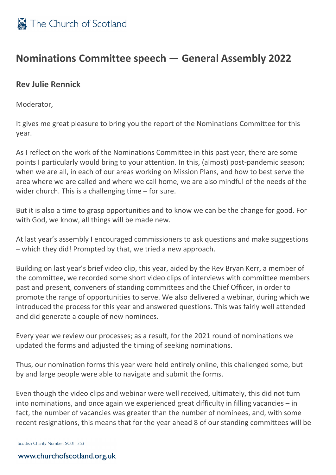

## **Nominations Committee speech — General Assembly 2022**

## **Rev Julie Rennick**

Moderator,

It gives me great pleasure to bring you the report of the Nominations Committee for this year.

As I reflect on the work of the Nominations Committee in this past year, there are some points I particularly would bring to your attention. In this, (almost) post-pandemic season; when we are all, in each of our areas working on Mission Plans, and how to best serve the area where we are called and where we call home, we are also mindful of the needs of the wider church. This is a challenging time – for sure.

But it is also a time to grasp opportunities and to know we can be the change for good. For with God, we know, all things will be made new.

At last year's assembly I encouraged commissioners to ask questions and make suggestions – which they did! Prompted by that, we tried a new approach.

Building on last year's brief video clip, this year, aided by the Rev Bryan Kerr, a member of the committee, we recorded some short video clips of interviews with committee members past and present, conveners of standing committees and the Chief Officer, in order to promote the range of opportunities to serve. We also delivered a webinar, during which we introduced the process for this year and answered questions. This was fairly well attended and did generate a couple of new nominees.

Every year we review our processes; as a result, for the 2021 round of nominations we updated the forms and adjusted the timing of seeking nominations.

Thus, our nomination forms this year were held entirely online, this challenged some, but by and large people were able to navigate and submit the forms.

Even though the video clips and webinar were well received, ultimately, this did not turn into nominations, and once again we experienced great difficulty in filling vacancies – in fact, the number of vacancies was greater than the number of nominees, and, with some recent resignations, this means that for the year ahead 8 of our standing committees will be

Scottish Charity Number: SC011353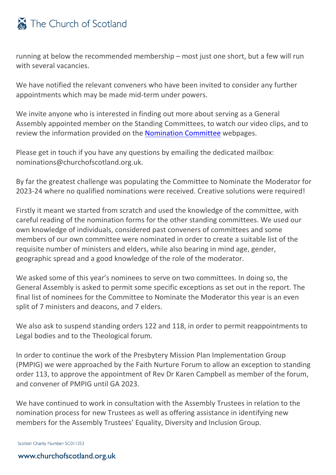## The Church of Scotland

running at below the recommended membership – most just one short, but a few will run with several vacancies.

We have notified the relevant conveners who have been invited to consider any further appointments which may be made mid-term under powers.

We invite anyone who is interested in finding out more about serving as a General Assembly appointed member on the Standing Committees, to watch our video clips, and to review the information provided on the [Nomination Committee](https://www.churchofscotland.org.uk/about-us/councils-committees-and-departments/committees/nomination-committee) webpages.

Please get in touch if you have any questions by emailing the dedicated mailbox: nominations@churchofscotland.org.uk.

By far the greatest challenge was populating the Committee to Nominate the Moderator for 2023-24 where no qualified nominations were received. Creative solutions were required!

Firstly it meant we started from scratch and used the knowledge of the committee, with careful reading of the nomination forms for the other standing committees. We used our own knowledge of individuals, considered past conveners of committees and some members of our own committee were nominated in order to create a suitable list of the requisite number of ministers and elders, while also bearing in mind age, gender, geographic spread and a good knowledge of the role of the moderator.

We asked some of this year's nominees to serve on two committees. In doing so, the General Assembly is asked to permit some specific exceptions as set out in the report. The final list of nominees for the Committee to Nominate the Moderator this year is an even split of 7 ministers and deacons, and 7 elders.

We also ask to suspend standing orders 122 and 118, in order to permit reappointments to Legal bodies and to the Theological forum.

In order to continue the work of the Presbytery Mission Plan Implementation Group (PMPIG) we were approached by the Faith Nurture Forum to allow an exception to standing order 113, to approve the appointment of Rev Dr Karen Campbell as member of the forum, and convener of PMPIG until GA 2023.

We have continued to work in consultation with the Assembly Trustees in relation to the nomination process for new Trustees as well as offering assistance in identifying new members for the Assembly Trustees' Equality, Diversity and Inclusion Group.

Scottish Charity Number: SC011353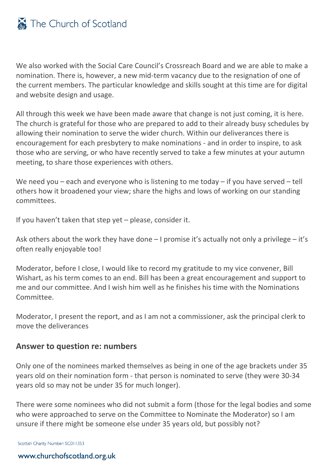We also worked with the Social Care Council's Crossreach Board and we are able to make a nomination. There is, however, a new mid-term vacancy due to the resignation of one of the current members. The particular knowledge and skills sought at this time are for digital and website design and usage.

All through this week we have been made aware that change is not just coming, it is here. The church is grateful for those who are prepared to add to their already busy schedules by allowing their nomination to serve the wider church. Within our deliverances there is encouragement for each presbytery to make nominations - and in order to inspire, to ask those who are serving, or who have recently served to take a few minutes at your autumn meeting, to share those experiences with others.

We need you – each and everyone who is listening to me today – if you have served – tell others how it broadened your view; share the highs and lows of working on our standing committees.

If you haven't taken that step yet – please, consider it.

Ask others about the work they have done  $-1$  promise it's actually not only a privilege  $-$  it's often really enjoyable too!

Moderator, before I close, I would like to record my gratitude to my vice convener, Bill Wishart, as his term comes to an end. Bill has been a great encouragement and support to me and our committee. And I wish him well as he finishes his time with the Nominations Committee.

Moderator, I present the report, and as I am not a commissioner, ask the principal clerk to move the deliverances

## **Answer to question re: numbers**

Only one of the nominees marked themselves as being in one of the age brackets under 35 years old on their nomination form - that person is nominated to serve (they were 30-34 years old so may not be under 35 for much longer).

There were some nominees who did not submit a form (those for the legal bodies and some who were approached to serve on the Committee to Nominate the Moderator) so I am unsure if there might be someone else under 35 years old, but possibly not?

Scottish Charity Number: SC011353